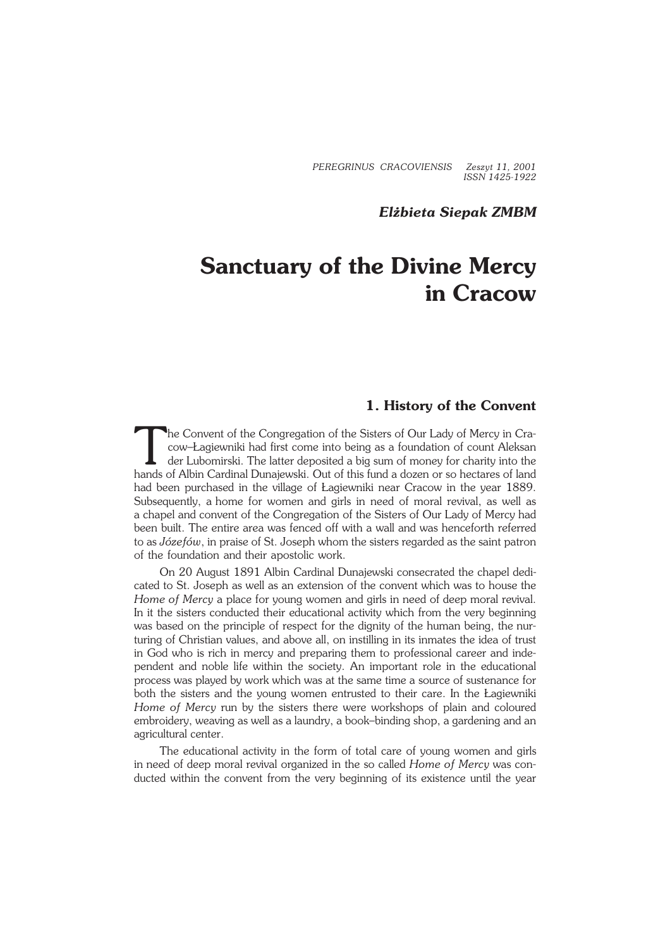*PEREGRINUS CRACOVIENSIS Zeszyt 11, 2001 ISSN 1425−1922*

## *Elżbieta Siepak ZMBM*

# **Sanctuary of the Divine Mercy in Cracow**

# **1. History of the Convent**

The Convent of the Congregation of the Sisters of Our Lady of Mercy in Cracow-Lagiewniki had first come into being as a foundation of count Aleksan der Lubomirski. The latter deposited a big sum of money for charity into t he Convent of the Congregation of the Sisters of Our Lady of Mercy in Cra− cow–Łagiewniki had first come into being as a foundation of count Aleksan der Lubomirski. The latter deposited a big sum of money for charity into the had been purchased in the village of Łagiewniki near Cracow in the year 1889. Subsequently, a home for women and girls in need of moral revival, as well as achapel and convent of the Congregation of the Sisters of Our Lady of Mercy had been built. The entire area was fenced off with a wall and was henceforth referred to as *Józefów*, in praise of St. Joseph whom the sisters regarded as the saint patron of the foundation and their apostolic work.

On 20 August 1891 Albin Cardinal Dunajewski consecrated the chapel dedi− cated to St. Joseph as well as an extension of the convent which was to house the *Home of Mercy* a place for young women and girls in need of deep moral revival. In it the sisters conducted their educational activity which from the very beginning was based on the principle of respect for the dignity of the human being, the nur− turing of Christian values, and above all, on instilling in its inmates the idea of trust in God who is rich in mercy and preparing them to professional career and inde− pendent and noble life within the society. An important role in the educational process was played bywork which was at the same time a source of sustenance for both the sisters and the young women entrusted to their care. In the Łagiewniki *Home of Mercy* run by the sisters there were workshops of plain and coloured embroidery, weaving as well as a laundry, a book–binding shop, a gardening and an agricultural center.

The educational activity in the form of total care of young women and girls inneed of deep moral revival organized in the so called *Home of Mercy* was con− ducted within the convent from the very beginning of its existence until the year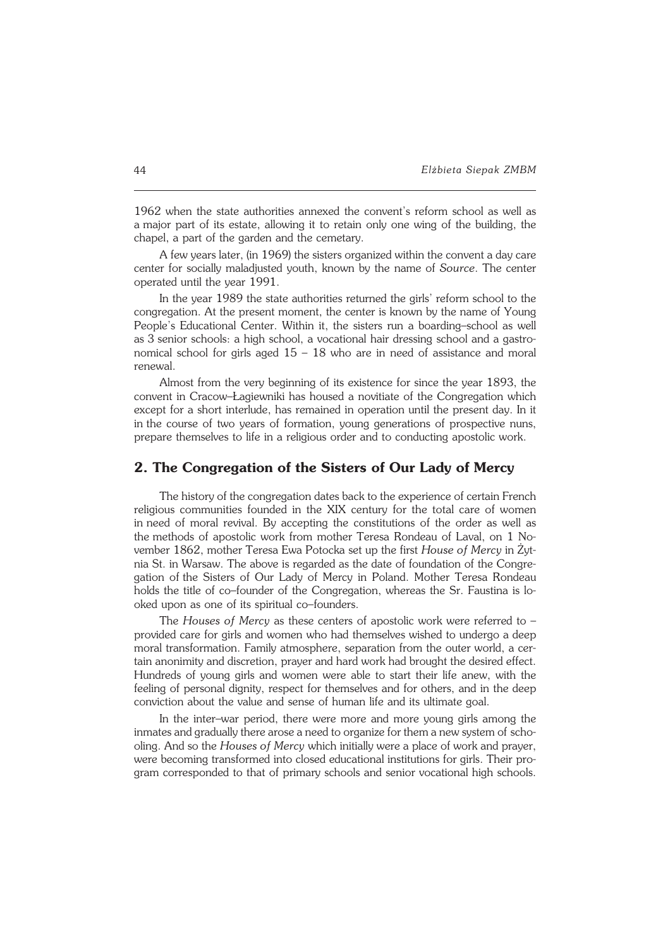1962 when the state authorities annexed the convent's reform school as well as amajor part of its estate, allowing it to retain only one wing of the building, the chapel, a part of the garden and the cemetary.

A few years later, (in 1969) the sisters organized within the convent a day care center for socially maladjusted youth, known by the name of *Source*. The center operated until the year 1991.

In the year 1989 the state authorities returned the girls' reform school to the congregation. At the present moment, the center is known by the name of Young People's Educational Center. Within it, the sisters run a boarding–school as well as 3 senior schools: a high school, a vocational hair dressing school and a gastronomical school for girls aged  $15 - 18$  who are in need of assistance and moral renewal.

Almost from the very beginning of its existence for since the year 1893, the convent in Cracow–Łagiewniki has housed a novitiate of the Congregation which except for a short interlude, has remained in operation until the present day. In it in the course of two years of formation, young generations of prospective nuns, prepare themselves to life in a religious order and to conducting apostolic work.

## **2. The Congregation of the Sisters of Our Lady of Mercy**

The history of the congregation dates back to the experience of certain French religious communities founded in the XIX century for the total care of women in need of moral revival. By accepting the constitutions of the order as well as the methods of apostolic work from mother Teresa Rondeau of Laval, on 1 No− vember 1862, mother Teresa Ewa Potocka set up the first *House of Mercy* inŻyt− nia St. inWarsaw. The above is regarded as the date of foundation of the Congre− gation ofthe Sisters of Our Lady of Mercy in Poland. Mother Teresa Rondeau holds the title of co–founder of the Congregation, whereas the Sr. Faustina is lo− oked upon as one of its spiritual co–founders.

The *Houses of Mercy* as these centers of apostolic work were referred to – provided care for girls and women who had themselves wished to undergo a deep moral transformation. Family atmosphere, separation from the outer world, a cer− tain anonimity and discretion, prayer and hard work had brought the desired effect. Hundreds of young girls and women were able to start their life anew, with the feeling of personal dignity, respect for themselves and for others, and in the deep conviction about the value and sense of human life and its ultimate goal.

In the inter–war period, there were more and more young girls among the inmates and gradually there arose a need to organize for them a new system of schooling. And so the *Houses of Mercy* which initially were a place of work and prayer, were becoming transformed into closed educational institutions for girls. Their program corresponded to that of primary schools and senior vocational high schools.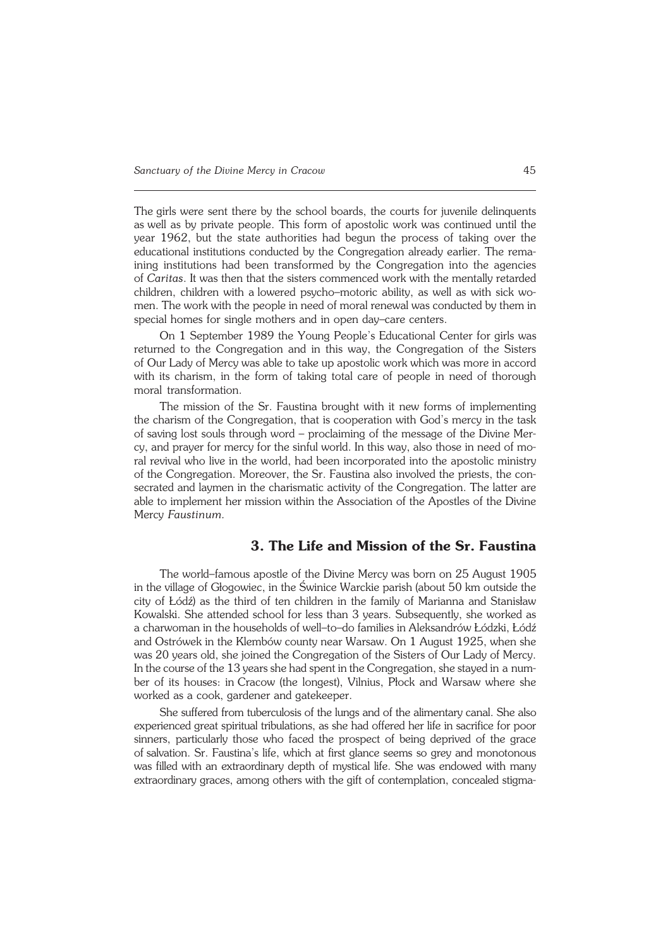The girls were sent there by the school boards, the courts for juvenile delinguents aswell as by private people. This form of apostolic work was continued until the year 1962, but the state authorities had begun the process of taking over the educational institutions conducted by the Congregation already earlier. The rema− ining institutions had been transformed by the Congregation into the agencies of*Caritas*. It was then that the sisters commenced work with the mentally retarded children, children with alowered psycho–motoric ability, as well as with sick wo− men. The work with the people in need of moral renewal was conducted by them in special homes for single mothers and in open day–care centers.

On 1 September 1989 the Young People's Educational Center for girls was returned to the Congregation and in this way, the Congregation of the Sisters ofOur Lady of Mercy was able to take up apostolic work which was more in accord with its charism, in the form of taking total care of people in need of thorough moral transformation.

The mission of the Sr. Faustina brought with it new forms of implementing the charism of the Congregation, that is cooperation with God's mercy in the task of saving lost souls through word – proclaiming of the message of the Divine Mer− cy, and prayer for mercy for the sinful world. In this way, also those in need of moral revival who live in the world, had been incorporated into the apostolic ministry of the Congregation. Moreover, the Sr. Faustina also involved the priests, the consecrated and laymen in the charismatic activity of the Congregation. The latter are able to implement her mission within the Association of the Apostles of the Divine Mercy *Faustinum.*

## **3. The Life and Mission of the Sr. Faustina**

The world–famous apostle of the Divine Mercy was born on 25 August 1905 in the village of Głogowiec, in the Świnice Warckie parish (about 50 km outside the city of Łódź) as the third of ten children in the family of Marianna and Stanisław Kowalski. She attended school for less than 3 years. Subsequently, she worked as acharwoman in the households of well–to–do families in Aleksandrów Łódzki, Łódź and Ostrówek in the Klembów county near Warsaw. On 1 August 1925, when she was 20 years old, she joined the Congregation of the Sisters of Our Lady of Mercy. In the course of the 13 years she had spent in the Congregation, she stayed in a num− ber of its houses: inCracow (the longest), Vilnius, Płock and Warsaw where she worked as a cook, gardener and gatekeeper.

She suffered from tuberculosis of the lungs and of the alimentary canal. She also experienced great spiritual tribulations, as she had offered her life in sacrifice for poor sinners, particularly those who faced the prospect of being deprived of the grace of salvation. Sr. Faustina's life, which at first glance seems so grey and monotonous was filled with an extraordinary depth of mystical life. She was endowed with many extraordinary graces, among others with the gift of contemplation, concealed stigma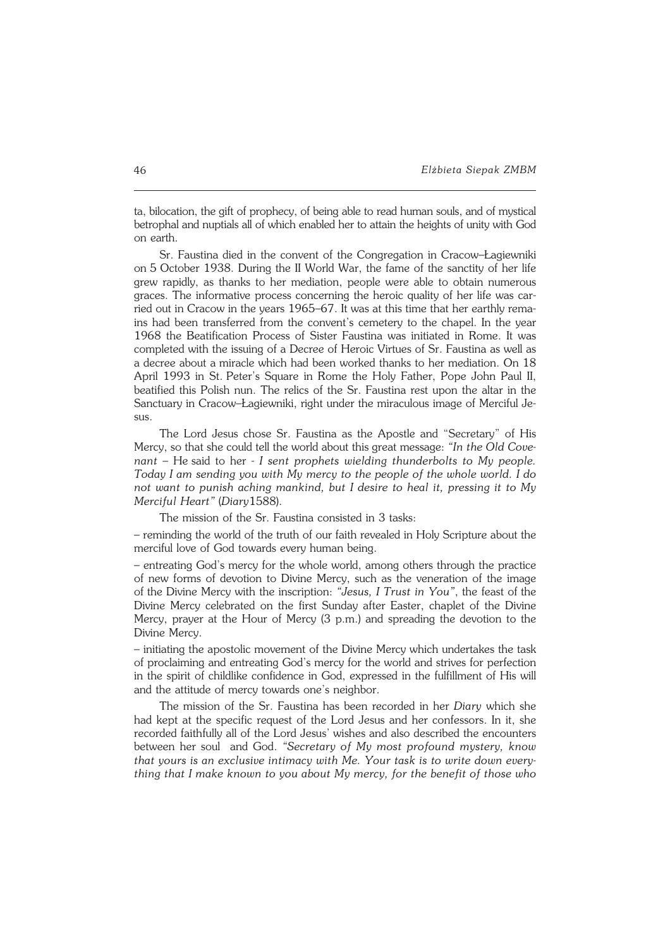ta, bilocation, the gift of prophecy, of being able to read human souls, and of mystical betrophal and nuptials all of which enabled her to attain the heights of unity with God on earth.

Sr. Faustina died in the convent of the Congregation in Cracow–Łagiewniki on5October 1938. During the II World War, the fame of the sanctity of her life grew rapidly, as thanks to her mediation, people were able to obtain numerous graces. The informative process concerning the heroic quality of her life was car− ried out in Cracow in the years 1965–67. It was at this time that her earthly rema− ins had been transferred from the convent's cemetery to the chapel. In the year 1968 the Beatification Process of Sister Faustina was initiated in Rome. It was completed with the issuing of a Decree of Heroic Virtues of Sr. Faustina as well as a decree about amiracle which had been worked thanks to her mediation. On 18 April 1993 in St. Peter's Square in Rome the Holy Father, Pope John Paul II, beatified this Polish nun. The relics of the Sr. Faustina rest upon the altar in the Sanctuary in Cracow–Łagiewniki, right under the miraculous image of Merciful Je−  $S11S$ 

The Lord Jesus chose Sr. Faustina as the Apostle and "Secretary" of His Mercy, so that she could tell the world about this great message: *"In the Old Cove− nant* – Hesaid to her − *I sent prophets wielding thunderbolts to My people. Today I am sending you with My mercy to the people of the whole world. I do not want to punish aching mankind, but I desire to heal it, pressing it to My Merciful Heart"* (*Diary*1588).

The mission of the Sr. Faustina consisted in 3 tasks:

– reminding the world of the truth of our faith revealed in Holy Scripture about the merciful love of God towards every human being.

– entreating God's mercy for the whole world, among others through the practice of new forms of devotion to Divine Mercy, such as the veneration of the image of the Divine Mercy with the inscription: "Jesus, I Trust in You", the feast of the Divine Mercy celebrated on the first Sunday after Easter, chaplet of the Divine Mercy, prayer at the Hour of Mercy (3 p.m.) and spreading the devotion to the Divine Mercy.

– initiating the apostolic movement of the Divine Mercy which undertakes the task of proclaiming and entreating God's mercy for the world and strives for perfection in the spirit of childlike confidence in God, expressed in the fulfillment of His will and the attitude of mercy towards one's neighbor.

The mission of the Sr. Faustina has been recorded in her *Diary* which she had kept at the specific request of the Lord Jesus and her confessors. In it, she recorded faithfully all of the Lord Jesus' wishes and also described the encounters between her soul and God. *"Secretary of My most profound mystery, know that yours is an exclusive intimacy with Me. Your task is to write down every− thing that Imake known to you about My mercy, for the benefit of those who*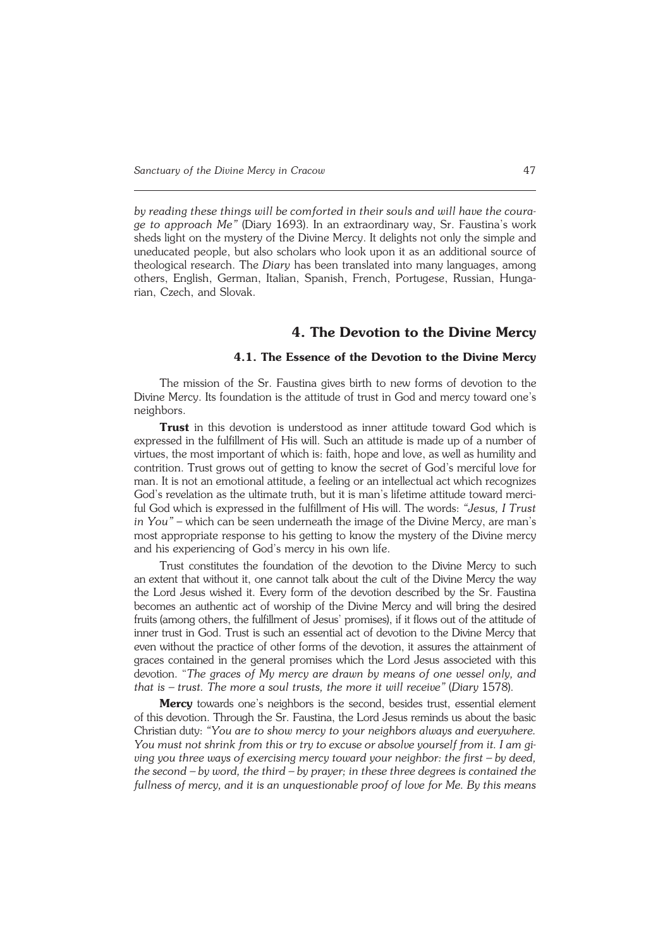*by reading these things will be comforted in their souls and will have the coura− ge to approach Me"* (Diary 1693). In an extraordinary way, Sr. Faustina's work sheds light on the mystery of the Divine Mercy. It delights not only the simple and uneducated people, but also scholars who look upon it as an additional source of theological research. The *Diary* has been translated into many languages, among others, English, German, Italian, Spanish, French, Portugese, Russian, Hunga− rian, Czech, and Slovak.

## **4. The Devotion to the Divine Mercy**

## **4.1. The Essence of the Devotion to the Divine Mercy**

The mission of the Sr. Faustina gives birth to new forms of devotion to the Divine Mercy. Its foundation is the attitude of trust in God and mercy toward one's neighbors.

Trust in this devotion is understood as inner attitude toward God which is expressed in the fulfillment of His will. Such an attitude is made up of a number of virtues, the most important of which is: faith, hope and love, as well as humility and contrition. Trust grows out of getting to know the secret of God's merciful love for man. It is not an emotional attitude, a feeling or an intellectual act which recognizes God's revelation as the ultimate truth, but it is man's lifetime attitude toward merci− ful God which is expressed in the fulfillment of His will. The words: *"Jesus, I Trust in You"* – which can be seen underneath the image of the Divine Mercy, are man's most appropriate response to his getting to know the mystery of the Divine mercy and his experiencing of God's mercy in his own life.

Trust constitutes the foundation of the devotion to the Divine Mercy to such an extent that without it, one cannot talk about the cult of the Divine Mercy the way the Lord Jesus wished it. Every form of the devotion described by the Sr. Faustina becomes an authentic act of worship of the Divine Mercy and will bring the desired fruits (among others, the fulfillment of Jesus' promises), if it flows out of the attitude of inner trust in God. Trust is such an essential act of devotion to the Divine Mercy that even without the practice of other forms of the devotion, it assures the attainment of graces contained in the general promises which the Lord Jesus associeted with this devotion. "*The graces of My mercy are drawn by means of one vessel only, and that is – trust. The more a soul trusts, the more it will receive"* (*Diary*1578).

**Mercy** towards one's neighbors is the second, besides trust, essential element ofthis devotion. Through the Sr. Faustina, the Lord Jesus reminds us about the basic Christian duty: *"You are to show mercy to your neighbors always and everywhere. You must not shrink from this or try to excuse or absolve yourself from it. Iamgi− ving you three ways of exercising mercy toward your neighbor: the first – bydeed, the second – by word, the third – by prayer; in these three degrees is contained the* fullness of mercy, and it is an unquestionable proof of love for Me. By this means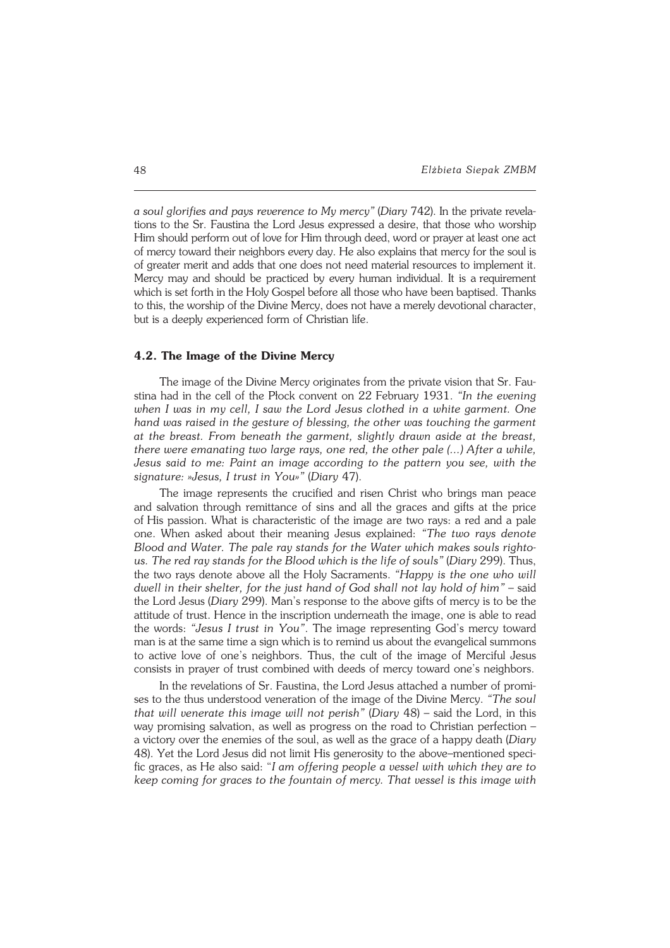*a soul glorifies and pays reverence to My mercy"* (*Diary* 742). In the private revela− tions to the Sr. Faustina the Lord Jesus expressed a desire, that those who worship Him should perform out of love for Him through deed, word or prayer at least one act of mercy toward their neighbors every day. He also explains that mercy for the soul is of greater merit and adds that one does not need material resources to implement it. Mercy may and should be practiced by every human individual. It is arequirement which is set forth in the Holy Gospel before all those who have been baptised. Thanks to this, the worship of the Divine Mercy, does not have a merely devotional character, but is a deeply experienced form of Christian life.

### **4.2. The Image of the Divine Mercy**

The image of the Divine Mercy originates from the private vision that Sr. Fau− stina had in the cell of the Płock convent on 22 February 1931. *"In the evening when I was in my cell, I saw the Lord Jesus clothed in a white garment. One hand was raised in the gesture of blessing, the other was touching the garment at the breast. From beneath the garment, slightly drawn aside at the breast, there were emanating two large rays, one red, the other pale (...) After a while, Jesus said to me: Paint an image according to the pattern you see, with the signature: »Jesus, I trust in You»"* (*Diary* 47).

The image represents the crucified and risen Christ who brings man peace and salvation through remittance of sins and all the graces and gifts at the price ofHis passion. What is characteristic of the image are two rays: a red and a pale one. When asked about their meaning Jesus explained: *"The two rays denote Blood and Water. The pale ray stands for the Water which makes souls righto− us. The red ray stands for the Blood which is the life of souls"* (*Diary* 299). Thus, the two rays denote above all the Holy Sacraments. *"Happy is the one who will* dwell in their shelter, for the just hand of God shall not lay hold of him" - said the Lord Jesus (*Diary* 299). Man's response to the above gifts of mercy is to be the attitude of trust. Hence in the inscription underneath the image, one is able to read the words: *"Jesus I trust in You"*. The image representing God's mercy toward man is at the same time a sign which is to remind us about the evangelical summons to active love of one's neighbors. Thus, the cult of the image of Merciful Jesus consists in prayer of trust combined with deeds of mercy toward one's neighbors.

In the revelations of Sr. Faustina, the Lord Jesus attached a number of promi− ses to the thus understood veneration of the image of the Divine Mercy. *"The soul that will venerate this image will not perish"* (*Diary* 48) – said the Lord, in this way promising salvation, as well as progress on the road to Christian perfection – avictory over the enemies of the soul, as well as the grace of a happy death (*Diary* 48). Yetthe Lord Jesus did not limit His generosity to the above–mentioned speci− fic graces, as He also said: "*I am offering people a vessel with which they are to keep coming for graces to the fountain of mercy. That vessel is this image with*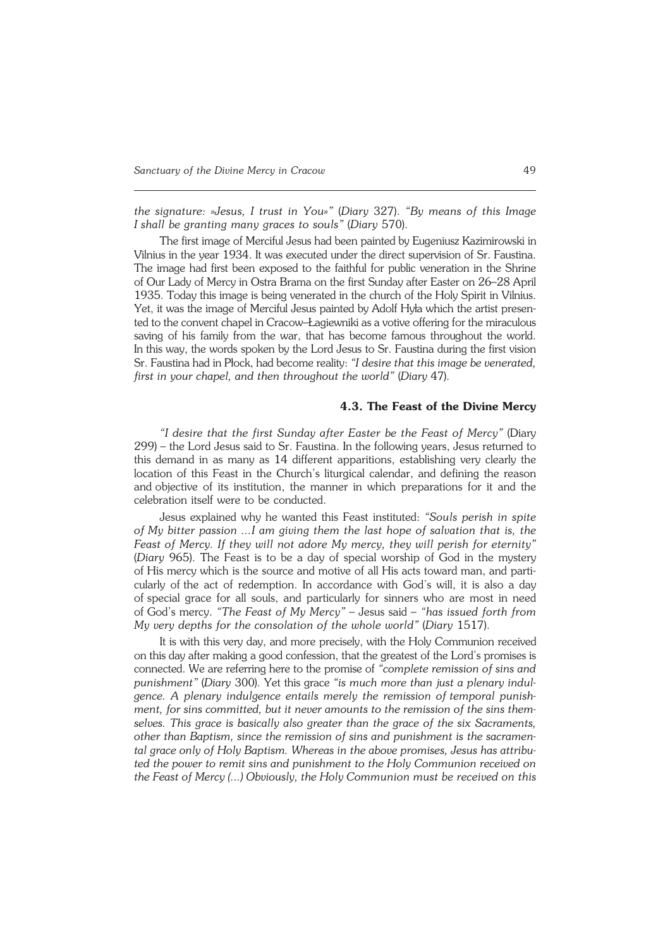*the signature: »Jesus, I trust in You»"* (*Diary* 327). *"By means of this Image Ishall be granting many graces to souls"* (*Diary* 570).

The first image of Merciful Jesus had been painted by Eugeniusz Kazimirowski in Vilnius in the year 1934. It was executed under the direct supervision of Sr.Faustina. The image had first been exposed to the faithful for public veneration in the Shrine ofOur Lady of Mercy in Ostra Brama on the first Sunday after Easter on26–28 April 1935. Today this image is being venerated in the church of the Holy Spirit in Vilnius. Yet, it was the image of Merciful Jesus painted by Adolf Hyła which the artist presen− ted to the convent chapel in Cracow–Łagiewniki as a votive offering for the miraculous saving of his family from the war, that has become famous throughout the world. Inthis way, the words spoken by the Lord Jesus to Sr. Faustina during the first vision Sr. Faustina had in Płock, had become reality: "I desire that this image be venerated, *first in your chapel, and then throughout the world"* (*Diary*47).

#### **4.3. The Feast of the Divine Mercy**

*"I desire that the first Sunday after Easter be the Feast of Mercy"* (Diary 299) – the Lord Jesus said to Sr. Faustina. In the following years, Jesus returned to this demand in as many as 14 different apparitions, establishing very clearly the location of this Feast in the Church's liturgical calendar, and defining the reason and objective of its institution, the manner in which preparations for it and the celebration itself were to be conducted.

Jesus explained why he wanted this Feast instituted: *"Souls perish in spite ofMy bitter passion ...I am giving them the last hope of salvation that is, the Feast of Mercy. If they will not adore My mercy, they will perish for eternity"* (*Diary* 965). The Feast is to be a day of special worship of God in the mystery of His mercy which is the source and motive of all His acts toward man, and parti− cularly of the act of redemption. In accordance with God's will, it is also a day of special grace for all souls, and particularly for sinners who are most in need ofGod's mercy. *"The Feast of My Mercy"* – Jesus said – *"has issued forth from My very depths for the consolation of the whole world"* (*Diary* 1517).

It is with this very day, and more precisely, with the Holy Communion received on this day after making a good confession, that the greatest of the Lord's promises is connected. We are referring here to the promise of *"complete remission of sins and punishment"* (*Diary* 300). Yet this grace *"is much more than just a plenary indul− gence. A plenary indulgence entails merely the remission of temporal punishment, for sins committed, but it never amounts to the remission of the sins them− selves. This grace is basically also greater than the grace of the six Sacraments, other than Baptism, since the remission of sins and punishment is the sacramen− tal grace only of Holy Baptism. Whereas in the above promises, Jesus has attribu− ted the power to remit sins and punishment to the Holy Communion received on the Feast of Mercy (...) Obviously, the Holy Communion must be received on this*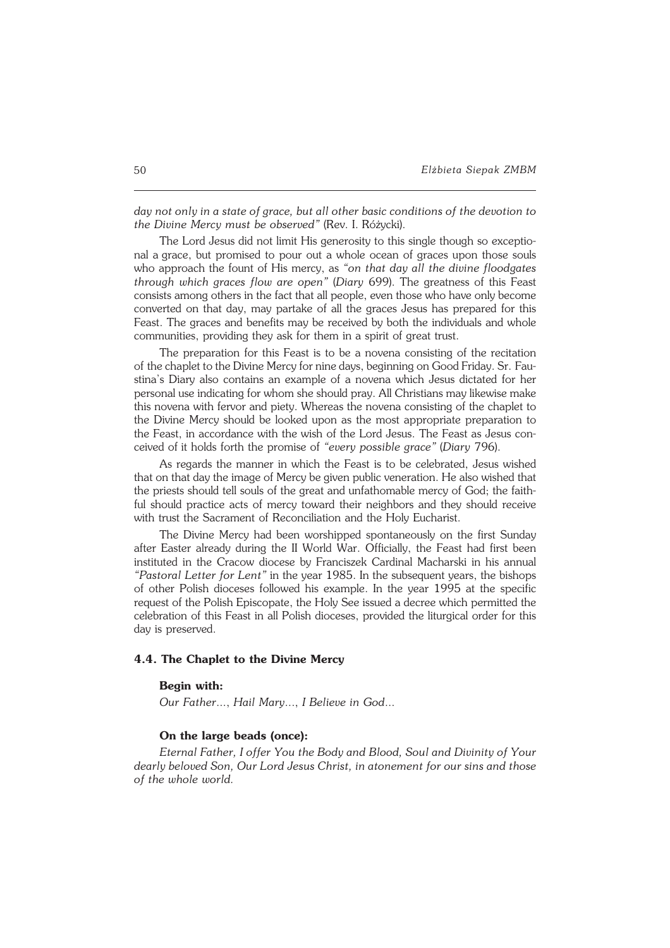day not only in a state of grace, but all other basic conditions of the devotion to *the Divine Mercy must be observed"* (Rev. I.Różycki).

The Lord Jesus did not limit His generosity to this single though so exceptio− nal agrace, but promised to pour out a whole ocean of graces upon those souls who approach the fount of His mercy, as *"on that day all the divine floodgates through which graces flow are open"* (*Diary* 699). The greatness of this Feast consists among others in the fact that all people, even those who have only become converted on that day, may partake of all the graces Jesus has prepared for this Feast. The graces and benefits may be received by both the individuals and whole communities, providing they ask for them in a spirit of great trust.

The preparation for this Feast is to be a novena consisting of the recitation of the chaplet to the Divine Mercy for nine days, beginning on Good Friday. Sr. Fau− stina's Diary also contains an example of a novena which Jesus dictated for her personal use indicating for whom she should pray. All Christians may likewise make this novena with fervor and piety. Whereas the novena consisting of the chaplet to the Divine Mercy should be looked upon as the most appropriate preparation to the Feast, in accordance with the wish of the Lord Jesus. The Feast as Jesus con− ceived of it holds forth the promise of "every possible grace" (Diary 796).

As regards the manner in which the Feast is to be celebrated, Jesus wished that on that day the image of Mercy be given public veneration. He also wished that the priests should tell souls of the great and unfathomable mercy of God; the faith− ful should practice acts of mercy toward their neighbors and they should receive with trust the Sacrament of Reconciliation and the Holy Eucharist.

The Divine Mercy had been worshipped spontaneously on the first Sunday after Easter already during the II World War. Officially, the Feast had first been instituted in the Cracow diocese by Franciszek Cardinal Macharski in his annual *"Pastoral Letter for Lent"* in the year 1985. In the subsequent years, the bishops of other Polish dioceses followed his example. In the year 1995 at the specific request of the Polish Episcopate, the Holy See issued a decree which permitted the celebration of this Feast in all Polish dioceses, provided the liturgical order for this day is preserved.

## **4.4. The Chaplet to the Divine Mercy**

## **Begin with:**

*Our Father*..., *Hail Mary*..., *I Believe in God*...

## **On the large beads (once):**

*Eternal Father, I offer You the Body and Blood, Soul and Divinity of Your dearly beloved Son, Our Lord Jesus Christ, in atonement for our sins and those of the whole world.*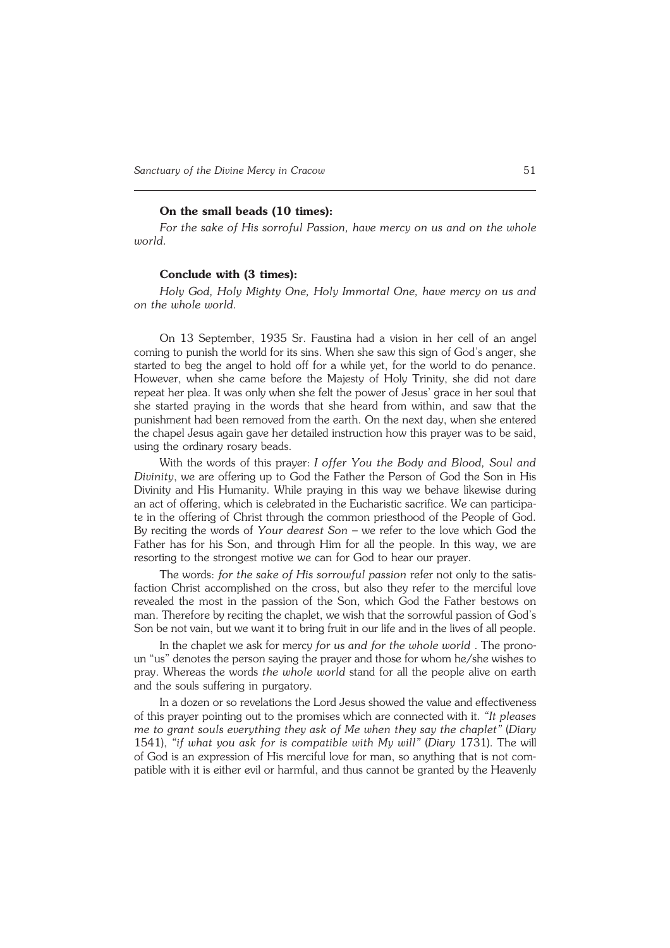### **On the small beads (10 times):**

*For the sake of His sorroful Passion, have mercy on us and on the whole world.*

### **Conclude with (3 times):**

*Holy God, Holy Mighty One, Holy Immortal One, have mercy on us and on the whole world.*

On 13 September, 1935 Sr. Faustina had a vision in her cell of an angel coming to punish the world for its sins. When she saw this sign of God's anger, she started to beg the angel to hold off for a while yet, for the world to do penance. However, when she came before the Majesty of Holy Trinity, she did not dare repeat her plea. It was only when she felt the power of Jesus' grace in her soul that she started praying in the words that she heard from within, and saw that the punishment had been removed from the earth. On the next day, when she entered the chapel Jesus again gave her detailed instruction how this prayer was to be said, using the ordinary rosary beads.

With the words of this prayer: *I offer You the Body and Blood, Soul and Divinity*, we are offering up to God the Father the Person of God the Son in His Divinity and His Humanity. While praying in this way we behave likewise during an act of offering, which is celebrated in the Eucharistic sacrifice. We can participate in the offering of Christ through the common priesthood of the People of God. By reciting the words of *Your dearest Son* – we refer to the love which God the Father has for his Son, and through Him for all the people. In this way, we are resorting to the strongest motive we can for God to hear our prayer.

The words: *for the sake of His sorrowful passion* refer not only to the satis− faction Christ accomplished on the cross, but also they refer to the merciful love revealed the most in the passion of the Son, which God the Father bestows on man. Therefore by reciting the chaplet, we wish that the sorrowful passion of God's Son be not vain, but we want it to bring fruit in our life and in the lives of all people.

In the chaplet we ask for mercy *for us and for the whole world* . The prono− un "us" denotes the person saying the prayer and those for whom he/she wishes to pray. Whereas the words *the whole world* stand for all the people alive on earth and the souls suffering in purgatory.

In a dozen or so revelations the Lord Jesus showed the value and effectiveness of this prayer pointing out to the promises which are connected with it. *"It pleases me to grant souls everything they ask of Me when they say the chaplet"* (*Diary* 1541), *"if what you ask for is compatible with My will"* (*Diary* 1731). The will of God is an expression of His merciful love for man, so anything that is not compatible with it is either evil or harmful, and thus cannot be granted by the Heavenly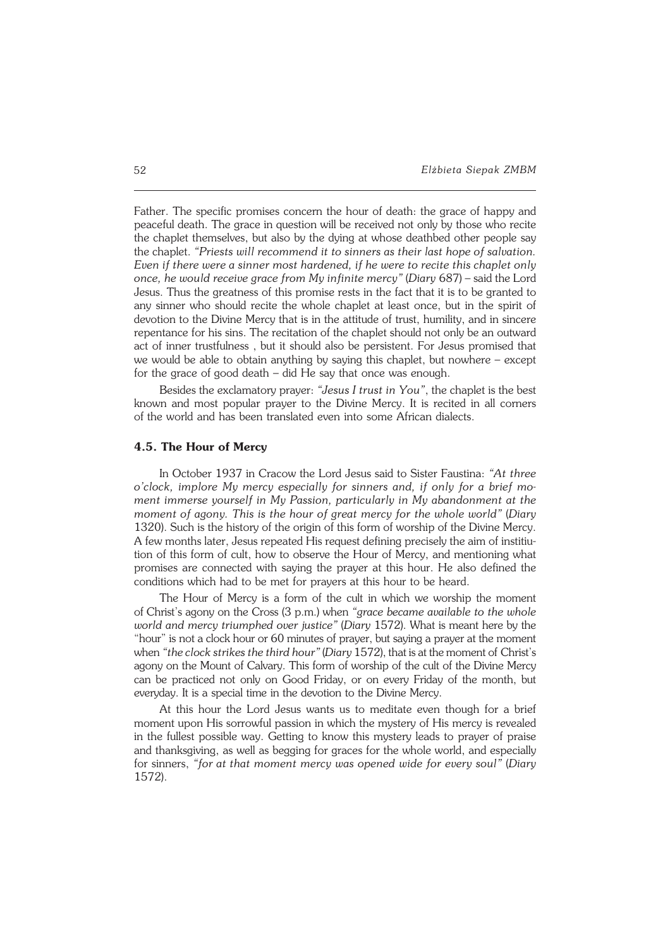Father. The specific promises concern the hour of death: the grace of happy and peaceful death. The grace in question will be received not only by those who recite the chaplet themselves, but also by the dying at whose deathbed other people say the chaplet. *"Priests will recommend it to sinners as their last hope of salvation. Even if there were a sinner most hardened, if he were to recite this chaplet only once, he would receive grace from My infinite mercy"* (*Diary* 687) – said the Lord Jesus. Thus the greatness of this promise rests in the fact that it is to be granted to any sinner who should recite the whole chaplet at least once, but in the spirit of devotion to the Divine Mercy that is in the attitude of trust, humility, and in sincere repentance for his sins. The recitation of the chaplet should not only be an outward act of inner trustfulness , but it should also be persistent. For Jesus promised that we would be able to obtain anything by saying this chaplet, but nowhere – except for the grace of good death  $-$  did He say that once was enough.

Besides the exclamatory prayer: *"Jesus I trust in You"*, the chaplet is the best known and most popular prayer to the Divine Mercy. It is recited in all corners of the world and has been translated even into some African dialects.

### **4.5. The Hour of Mercy**

In October 1937 in Cracow the Lord Jesus said to Sister Faustina: *"At three o'clock, implore My mercy especially for sinners and, if only for a brief mo− ment immerse yourself in My Passion, particularly in My abandonment at the moment of agony. This is the hour of great mercy for the whole world"* (*Diary* 1320). Such is the history of the origin of this form of worship of the Divine Mercy. A few months later, Jesus repeated His request defining precisely the aim of institiu− tion of this form of cult, how to observe the Hour of Mercy, and mentioning what promises are connected with saying the prayer at this hour. He also defined the conditions which had to be met for prayers at this hour to be heard.

The Hour of Mercy is a form of the cult in which we worship the moment ofChrist's agony on the Cross (3 p.m.) when *"grace became available to the whole world and mercy triumphed over justice"* (*Diary* 1572). What is meant here by the "hour" is not a clock hour or 60 minutes of prayer, but saying a prayer at the moment when "the clock strikes the third hour" (Diary 1572), that is at the moment of Christ's agony on the Mount of Calvary. This form of worship of the cult of the Divine Mercy can be practiced not only on Good Friday, or on every Friday of the month, but everyday. It is a special time in the devotion to the Divine Mercy.

At this hour the Lord Jesus wants us to meditate even though for a brief moment upon His sorrowful passion in which the mystery of His mercy is revealed in the fullest possible way. Getting to know this mystery leads to prayer of praise and thanksgiving, as well as begging for graces for the whole world, and especially for sinners, "for at that moment mercy was opened wide for every soul" (Diary 1572).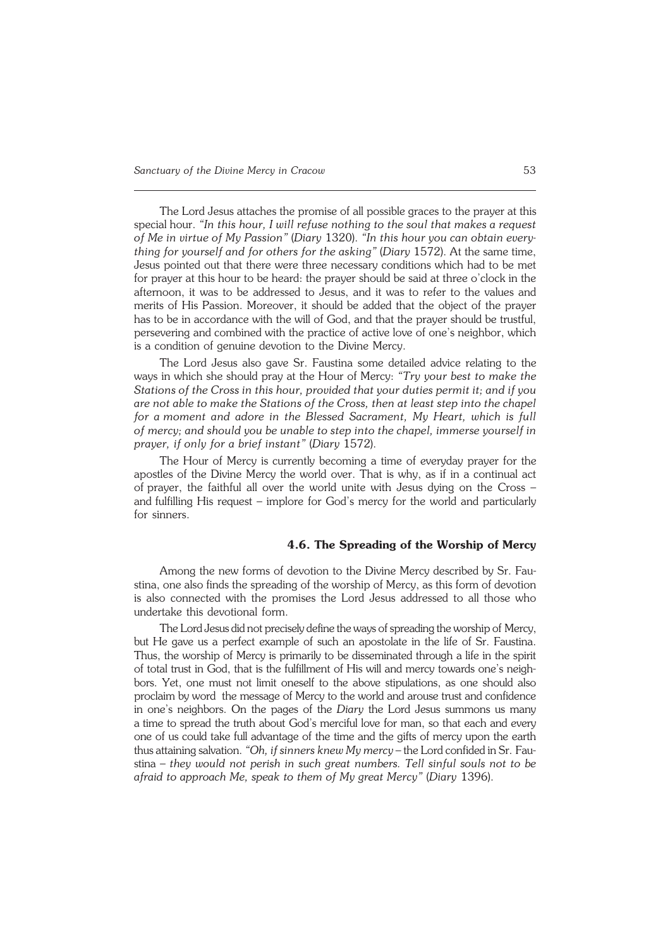The Lord Jesus attaches the promise of all possible graces to the prayer at this special hour. *"In this hour, I will refuse nothing to the soul that makes a request of Me in virtue of My Passion"* (*Diary* 1320). *"In this hour you can obtain every− thing for yourself and for others for the asking"* (*Diary* 1572). At the same time, Jesus pointed out that there were three necessary conditions which had to be met for prayer at this hour to be heard: the prayer should be said at three o'clock in the afternoon, it was to be addressed to Jesus, and it was to refer to the values and merits of His Passion. Moreover, it should be added that the object of the prayer has to be in accordance with the will of God, and that the prayer should be trustful, persevering and combined with the practice of active love of one's neighbor, which is a condition of genuine devotion to the Divine Mercy.

The Lord Jesus also gave Sr. Faustina some detailed advice relating to the ways in which she should pray at the Hour of Mercy: *"Try your best to make the Stations of the Cross in this hour, provided that your duties permit it; and if you are not able to make the Stations of the Cross, then at least step into the chapel for amoment and adore in the Blessed Sacrament, My Heart, which is full ofmercy; and should you be unable to step into the chapel, immerse yourself in prayer, ifonly for a brief instant"* (*Diary* 1572).

The Hour of Mercy is currently becoming a time of everyday prayer for the apostles of the Divine Mercy the world over. That is why, as if in a continual act of prayer, the faithful all over the world unite with Jesus dying on the Cross – and fulfilling His request – implore for God's mercy for the world and particularly for sinners.

## **4.6. The Spreading of the Worship of Mercy**

Among the new forms of devotion to the Divine Mercy described by Sr. Fau− stina, one also finds the spreading of the worship of Mercy, as this form of devotion is also connected with the promises the Lord Jesus addressed to all those who undertake this devotional form.

The Lord Jesus did not precisely define the ways of spreading the worship of Mercy, but He gave us a perfect example of such an apostolate in the life of Sr. Faustina. Thus, the worship of Mercy is primarily to be disseminated through a life in the spirit of total trust in God, that is the fulfillment of His will and mercy towards one's neigh− bors. Yet, one must not limit oneself to the above stipulations, as one should also proclaim by word the message of Mercy to the world and arouse trust and confidence in one's neighbors. On the pages of the *Diary* the Lord Jesus summons us many atime to spread the truth about God's merciful love for man, so that each and every one of us could take full advantage of the time and the gifts of mercy upon the earth thus attaining salvation. *"Oh, if sinners knew My mercy* – the Lord confided in Sr. Fau− stina – *they would not perish in such great numbers. Tell sinful souls not to be afraid to approach Me, speak to them of My great Mercy"* (*Diary* 1396).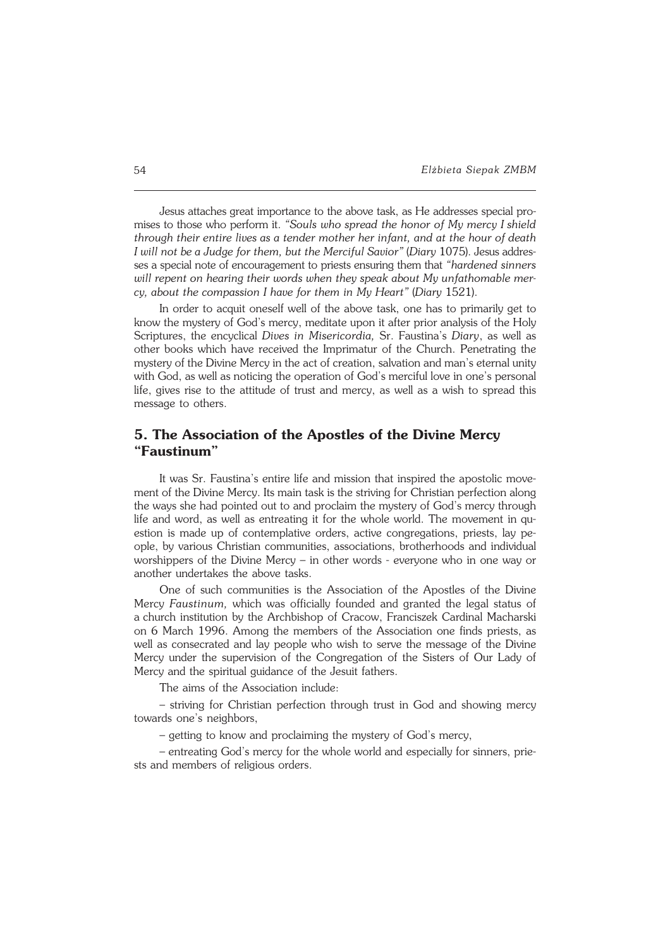Jesus attaches great importance to the above task, as He addresses special pro− mises to those who perform it. *"Souls who spread the honor of My mercy Ishield* through their entire lives as a tender mother her infant, and at the hour of death *I will not be a Judge for them, but the Merciful Savior" (Diary 1075). Jesus addres*ses a special note of encouragement to priests ensuring them that *"hardened sinners will repent on hearing their words when they speak about My unfathomable mer− cy, about the compassion I have for them in My Heart"* (*Diary* 1521).

In order to acquit oneself well of the above task, one has to primarily get to know the mystery of God's mercy, meditate upon it after prior analysis of the Holy Scriptures, the encyclical *Dives in Misericordia,* Sr. Faustina's *Diary*, as well as other books which have received the Imprimatur of the Church. Penetrating the mystery of the Divine Mercy in the act of creation, salvation and man's eternal unity with God, as well as noticing the operation of God's merciful love in one's personal life, gives rise to the attitude of trust and mercy, as well as a wish to spread this message to others.

# **5. The Association of the Apostles of the Divine Mercy "Faustinum"**

It was Sr. Faustina's entire life and mission that inspired the apostolic move− ment of the Divine Mercy. Its main task is the striving for Christian perfection along the ways she had pointed out to and proclaim the mystery of God's mercy through life and word, as well as entreating it for the whole world. The movement in qu− estion is made up of contemplative orders, active congregations, priests, lay pe− ople, by various Christian communities, associations, brotherhoods and individual worshippers of the Divine Mercy – in other words − everyone who in one way or another undertakes the above tasks.

One of such communities is the Association of the Apostles of the Divine Mercy *Faustinum,* which was officially founded and granted the legal status of achurch institution by the Archbishop of Cracow, Franciszek Cardinal Macharski on 6 March 1996. Among the members of the Association one finds priests, as well as consecrated and lay people who wish to serve the message of the Divine Mercy under the supervision of the Congregation of the Sisters of Our Lady of Mercy and the spiritual guidance of the Jesuit fathers.

The aims of the Association include:

– striving for Christian perfection through trust in God and showing mercy towards one's neighbors,

– getting to know and proclaiming the mystery of God's mercy,

– entreating God's mercy for the whole world and especially for sinners, prie− sts and members of religious orders.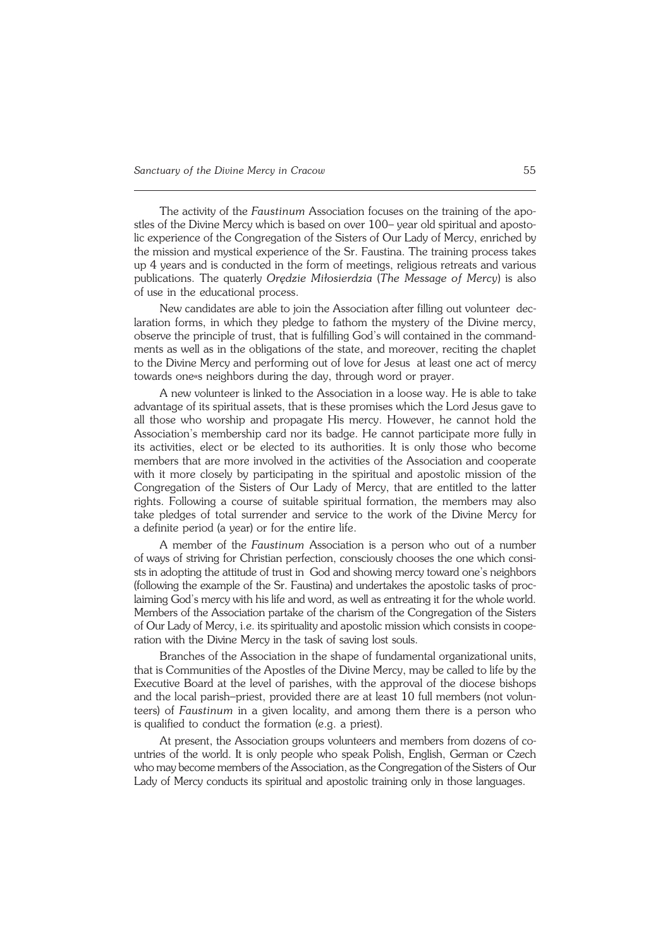The activity of the *Faustinum* Association focuses on the training of the apo− stles of the Divine Mercy which is based on over 100– year old spiritual and aposto− lic experience of the Congregation of the Sisters of Our Lady of Mercy, enriched by the mission and mystical experience of the Sr. Faustina. The training process takes up 4 years and is conducted in the form of meetings, religious retreats and various publications. The quaterly *Orędzie Miłosierdzia* (*The Message of Mercy*) is also of use in the educational process.

New candidates are able to join the Association after filling out volunteer dec− laration forms, in which they pledge to fathom the mystery of the Divine mercy, observe the principle of trust, that is fulfilling God's will contained in the command− ments as well as in the obligations of the state, and moreover, reciting the chaplet to the Divine Mercy and performing out of love for Jesus at least one act of mercy towards one«s neighbors during the day, through word or prayer.

A new volunteer is linked to the Association in a loose way. He is able to take advantage of its spiritual assets, that is these promises which the Lord Jesus gave to all those who worship and propagate His mercy. However, he cannot hold the Association's membership card nor its badge. He cannot participate more fully in its activities, elect or be elected to its authorities. It is only those who become members that are more involved in the activities of the Association and cooperate with it more closely by participating in the spiritual and apostolic mission of the Congregation of the Sisters of Our Lady of Mercy, that are entitled to the latter rights. Following a course of suitable spiritual formation, the members may also take pledges of total surrender and service to the work of the Divine Mercy for a definite period (a year) or for the entire life.

A member of the *Faustinum* Association is a person who out of a number of ways of striving for Christian perfection, consciously chooses the one which consi− sts in adopting the attitude of trust in God and showing mercy toward one's neighbors (following the example of the Sr. Faustina) and undertakes the apostolic tasks of proclaiming God's mercy with his life and word, as well as entreating it for the whole world. Members of the Association partake of the charism of the Congregation of the Sisters of Our Lady of Mercy, i.e. its spirituality and apostolic mission which consists in coope− ration with the Divine Mercy in the task of saving lost souls.

Branches of the Association in the shape of fundamental organizational units, that is Communities of the Apostles of the Divine Mercy, may be called to life by the Executive Board at the level of parishes, with the approval of the diocese bishops and the local parish–priest, provided there are at least 10 full members (not volun− teers) of *Faustinum* in a given locality, and among them there is a person who is qualified to conduct the formation (e.g. a priest).

At present, the Association groups volunteers and members from dozens of countries of the world. It is only people who speak Polish, English, German or Czech who may become members of the Association, as the Congregation of the Sisters of Our Lady of Mercy conducts its spiritual and apostolic training only in those languages.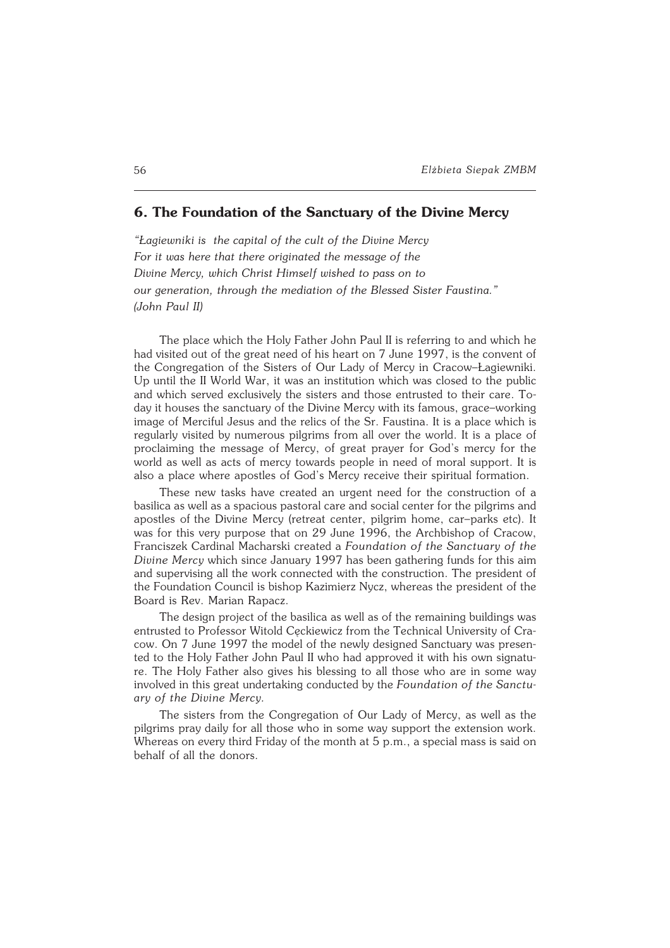# **6. The Foundation of the Sanctuary of the Divine Mercy**

*"Łagiewniki is the capital of the cult of the Divine Mercy For it was here that there originated the message of the Divine Mercy, which Christ Himself wished to pass on to our generation, through the mediation of the Blessed Sister Faustina." (John Paul II)*

The place which the Holy Father John Paul II is referring to and which he had visited out of the great need of his heart on 7 June 1997, is the convent of the Congregation of the Sisters of Our Lady of Mercy in Cracow–Łagiewniki. Up until the II World War, it was an institution which was closed to the public and which served exclusively the sisters and those entrusted to their care. To− day it houses the sanctuary of the Divine Mercy with its famous, grace–working image of Merciful Jesus and the relics of the Sr. Faustina. It is a place which is regularly visited by numerous pilgrims from all over the world. It is a place of proclaiming the message of Mercy, of great prayer for God's mercy for the world as well as acts of mercy towards people in need of moral support. It is also a place where apostles of God's Mercy receive their spiritual formation.

These new tasks have created an urgent need for the construction of a basilica as well as a spacious pastoral care and social center for the pilgrims and apostles of the Divine Mercy (retreat center, pilgrim home, car-parks etc). It was for this very purpose that on 29 June 1996, the Archbishop of Cracow, Franciszek Cardinal Macharski created a *Foundation of the Sanctuary of the Divine Mercy* which since January 1997 has been gathering funds for this aim and supervising all the work connected with the construction. The president of the Foundation Council is bishop Kazimierz Nycz, whereas the president of the Board is Rev. Marian Rapacz.

The design project of the basilica as well as of the remaining buildings was entrusted to Professor Witold Cęckiewicz from the Technical University of Cra− cow. On 7 June 1997 the model of the newly designed Sanctuary was presen− ted to the Holy Father John Paul II who had approved it with his own signatu− re. The Holy Father also gives his blessing to all those who are in some way involved in this great undertaking conducted by the *Foundation of the Sanctu− ary of the Divine Mercy.*

The sisters from the Congregation of Our Lady of Mercy, as well as the pilgrims pray daily for all those who in some way support the extension work. Whereas on every third Friday of the month at 5 p.m., a special mass is said on behalf of all the donors.